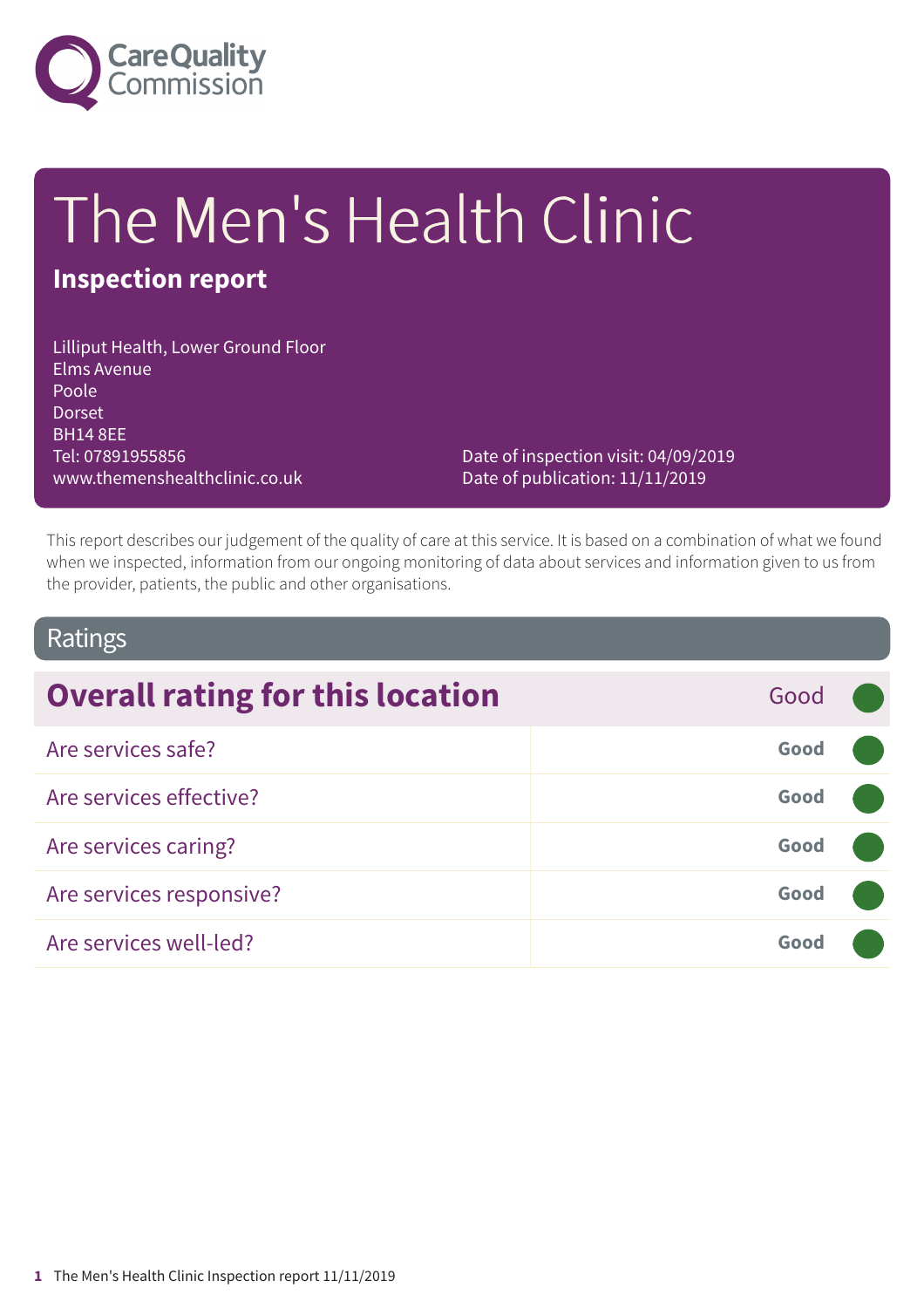

# The Men's Health Clinic

### **Inspection report**

Lilliput Health, Lower Ground Floor Elms Avenue Poole Dorset BH14 8EE Tel: 07891955856 www.themenshealthclinic.co.uk

Date of inspection visit: 04/09/2019 Date of publication: 11/11/2019

This report describes our judgement of the quality of care at this service. It is based on a combination of what we found when we inspected, information from our ongoing monitoring of data about services and information given to us from the provider, patients, the public and other organisations.

### Ratings

| <b>Overall rating for this location</b> | Good |  |
|-----------------------------------------|------|--|
| Are services safe?                      | Good |  |
| Are services effective?                 | Good |  |
| Are services caring?                    | Good |  |
| Are services responsive?                | Good |  |
| Are services well-led?                  | Good |  |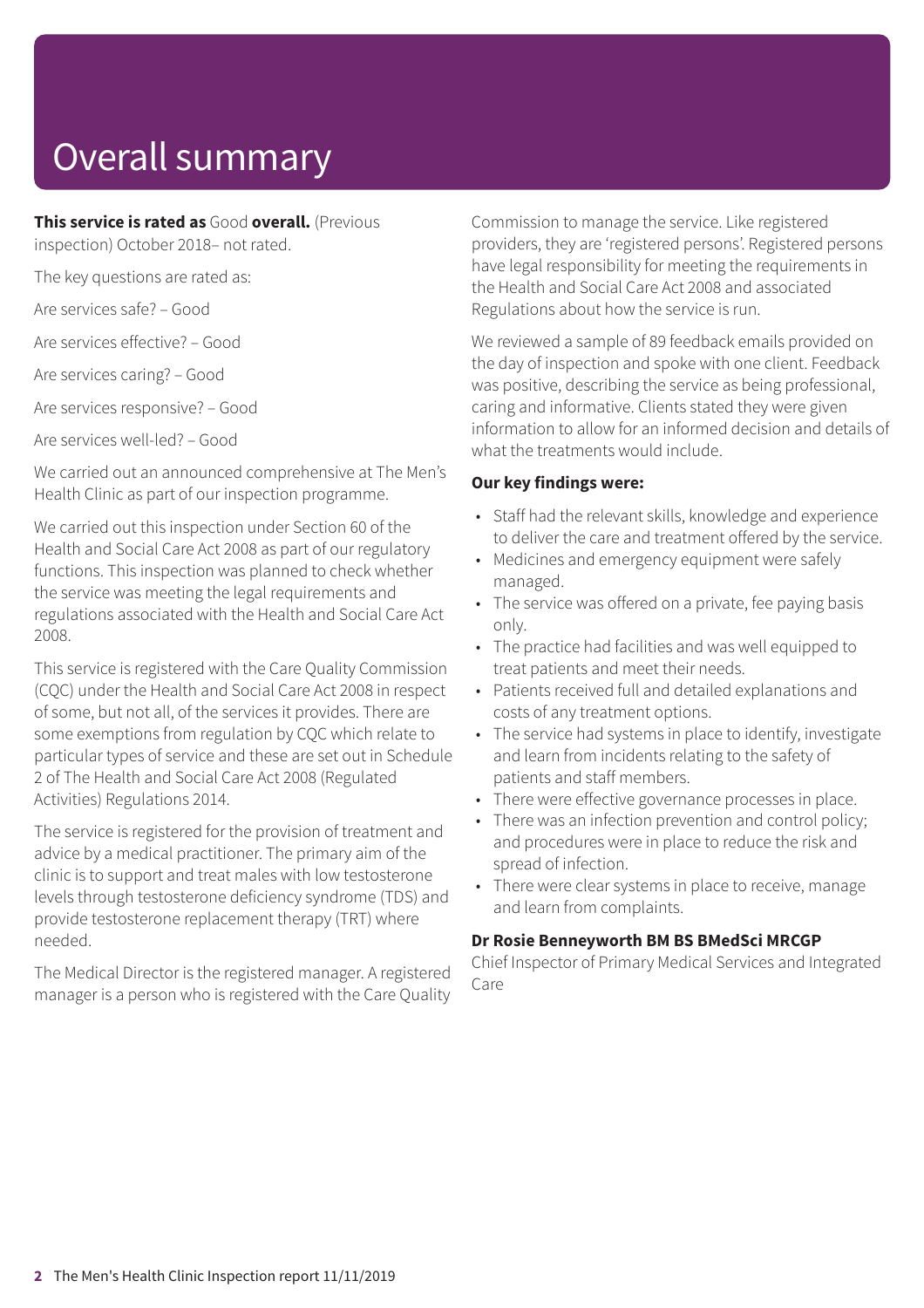# Overall summary

**This service is rated as** Good **overall.** (Previous

inspection) October 2018– not rated.

The key questions are rated as:

Are services safe? – Good

Are services effective? – Good

Are services caring? – Good

Are services responsive? – Good

Are services well-led? – Good

We carried out an announced comprehensive at The Men's Health Clinic as part of our inspection programme.

We carried out this inspection under Section 60 of the Health and Social Care Act 2008 as part of our regulatory functions. This inspection was planned to check whether the service was meeting the legal requirements and regulations associated with the Health and Social Care Act 2008.

This service is registered with the Care Quality Commission (CQC) under the Health and Social Care Act 2008 in respect of some, but not all, of the services it provides. There are some exemptions from regulation by CQC which relate to particular types of service and these are set out in Schedule 2 of The Health and Social Care Act 2008 (Regulated Activities) Regulations 2014.

The service is registered for the provision of treatment and advice by a medical practitioner. The primary aim of the clinic is to support and treat males with low testosterone levels through testosterone deficiency syndrome (TDS) and provide testosterone replacement therapy (TRT) where needed.

The Medical Director is the registered manager. A registered manager is a person who is registered with the Care Quality Commission to manage the service. Like registered providers, they are 'registered persons'. Registered persons have legal responsibility for meeting the requirements in the Health and Social Care Act 2008 and associated Regulations about how the service is run.

We reviewed a sample of 89 feedback emails provided on the day of inspection and spoke with one client. Feedback was positive, describing the service as being professional, caring and informative. Clients stated they were given information to allow for an informed decision and details of what the treatments would include

#### **Our key findings were:**

- Staff had the relevant skills, knowledge and experience to deliver the care and treatment offered by the service.
- Medicines and emergency equipment were safely managed.
- The service was offered on a private, fee paying basis only.
- The practice had facilities and was well equipped to treat patients and meet their needs.
- Patients received full and detailed explanations and costs of any treatment options.
- The service had systems in place to identify, investigate and learn from incidents relating to the safety of patients and staff members.
- There were effective governance processes in place.
- There was an infection prevention and control policy; and procedures were in place to reduce the risk and spread of infection.
- There were clear systems in place to receive, manage and learn from complaints.

#### **Dr Rosie Benneyworth BM BS BMedSci MRCGP**

Chief Inspector of Primary Medical Services and Integrated Care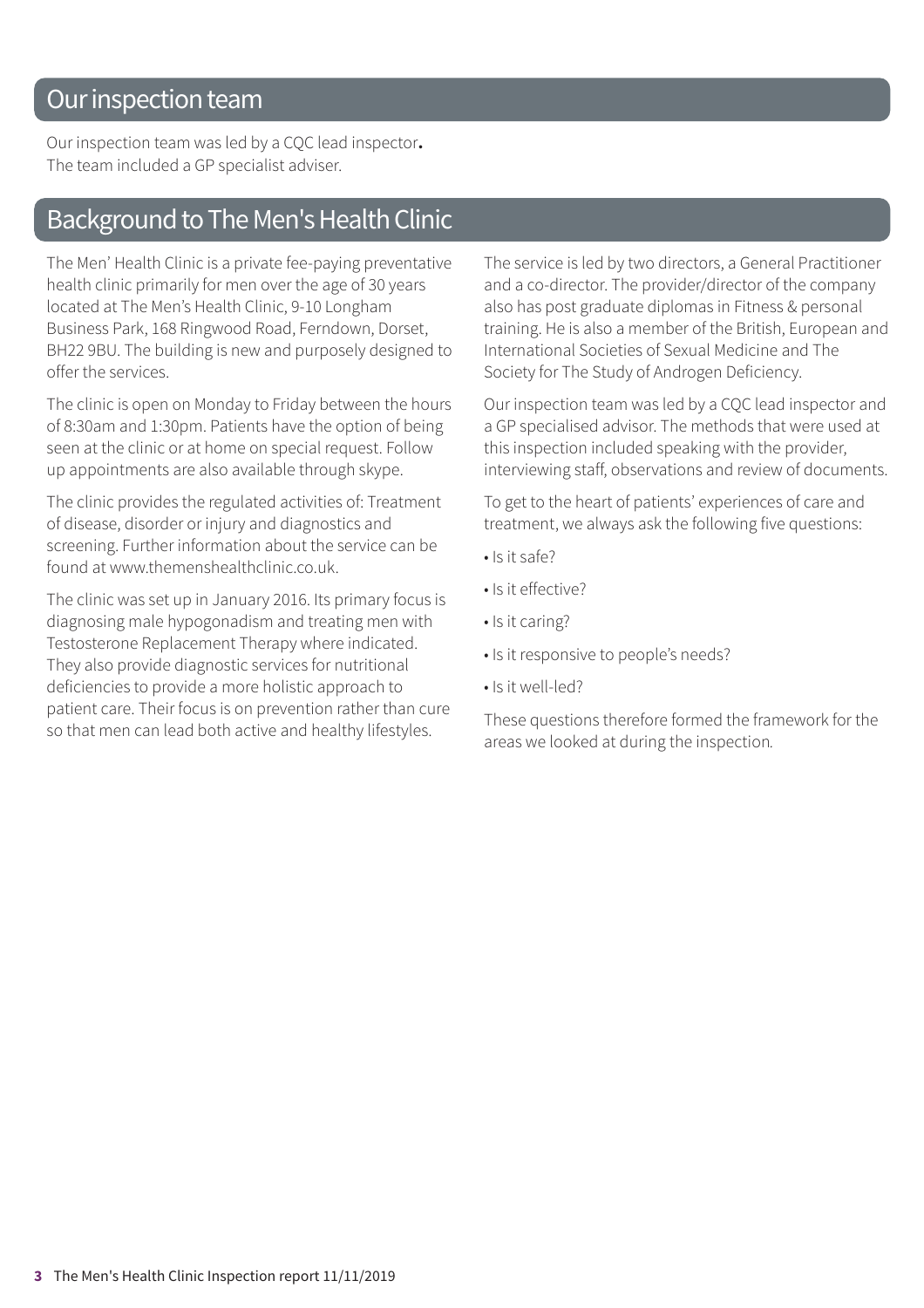### Our inspection team

Our inspection team was led by a CQC lead inspector**.** The team included a GP specialist adviser.

### **Background to The Men's Health Clinic**

The Men' Health Clinic is a private fee-paying preventative health clinic primarily for men over the age of 30 years located at The Men's Health Clinic, 9-10 Longham Business Park, 168 Ringwood Road, Ferndown, Dorset, BH22 9BU. The building is new and purposely designed to offer the services.

The clinic is open on Monday to Friday between the hours of 8:30am and 1:30pm. Patients have the option of being seen at the clinic or at home on special request. Follow up appointments are also available through skype.

The clinic provides the regulated activities of: Treatment of disease, disorder or injury and diagnostics and screening. Further information about the service can be found at www.themenshealthclinic.co.uk.

The clinic was set up in January 2016. Its primary focus is diagnosing male hypogonadism and treating men with Testosterone Replacement Therapy where indicated. They also provide diagnostic services for nutritional deficiencies to provide a more holistic approach to patient care. Their focus is on prevention rather than cure so that men can lead both active and healthy lifestyles.

The service is led by two directors, a General Practitioner and a co-director. The provider/director of the company also has post graduate diplomas in Fitness & personal training. He is also a member of the British, European and International Societies of Sexual Medicine and The Society for The Study of Androgen Deficiency.

Our inspection team was led by a CQC lead inspector and a GP specialised advisor. The methods that were used at this inspection included speaking with the provider, interviewing staff, observations and review of documents.

To get to the heart of patients' experiences of care and treatment, we always ask the following five questions:

- Is it safe?
- Is it effective?
- Is it caring?
- Is it responsive to people's needs?
- Is it well-led?

These questions therefore formed the framework for the areas we looked at during the inspection*.*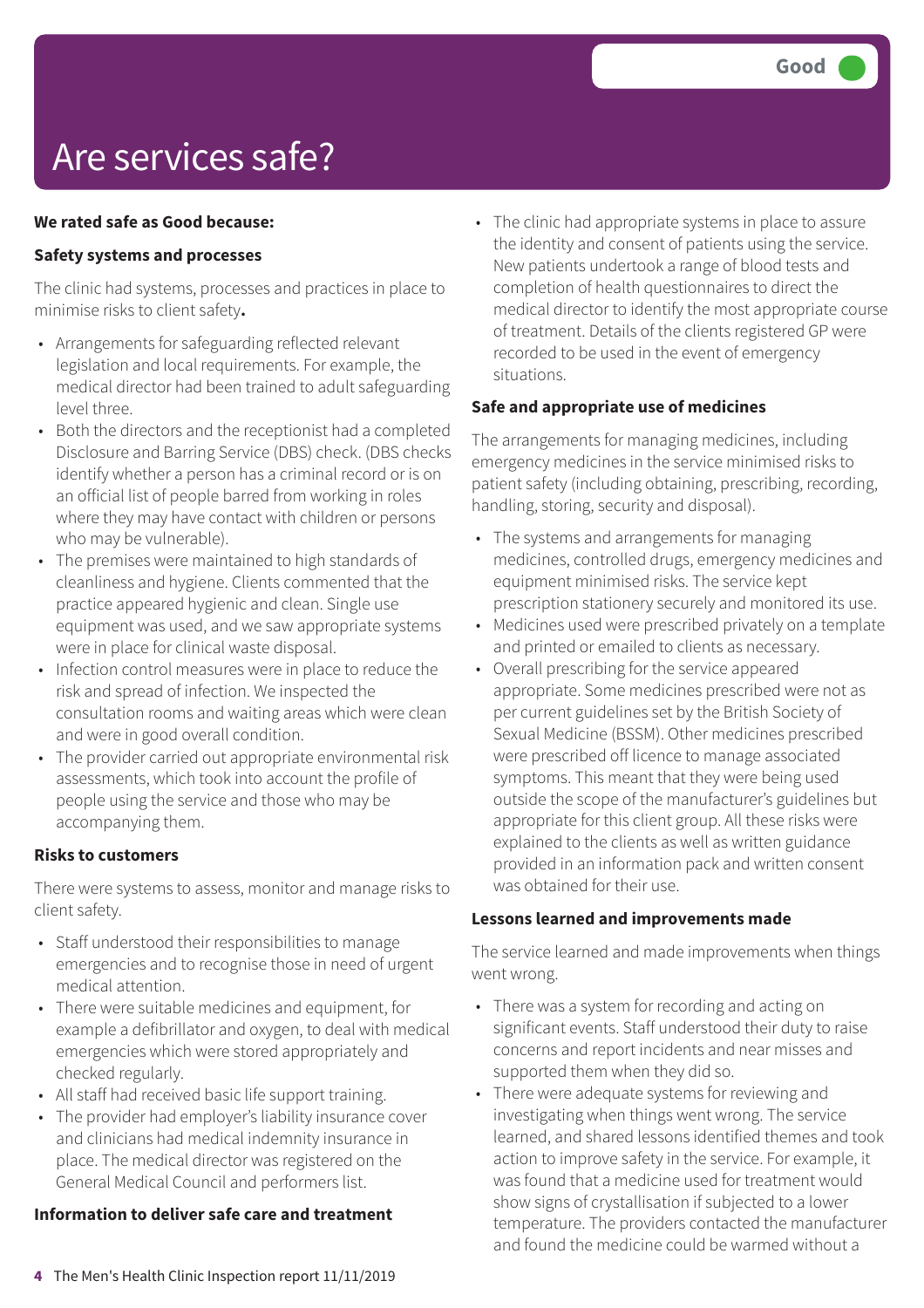# Are services safe?

#### **We rated safe as Good because:**

#### **Safety systems and processes**

The clinic had systems, processes and practices in place to minimise risks to client safety**.**

- Arrangements for safeguarding reflected relevant legislation and local requirements. For example, the medical director had been trained to adult safeguarding level three.
- Both the directors and the receptionist had a completed Disclosure and Barring Service (DBS) check. (DBS checks identify whether a person has a criminal record or is on an official list of people barred from working in roles where they may have contact with children or persons who may be vulnerable).
- The premises were maintained to high standards of cleanliness and hygiene. Clients commented that the practice appeared hygienic and clean. Single use equipment was used, and we saw appropriate systems were in place for clinical waste disposal.
- Infection control measures were in place to reduce the risk and spread of infection. We inspected the consultation rooms and waiting areas which were clean and were in good overall condition.
- The provider carried out appropriate environmental risk assessments, which took into account the profile of people using the service and those who may be accompanying them.

#### **Risks to customers**

There were systems to assess, monitor and manage risks to client safety.

- Staff understood their responsibilities to manage emergencies and to recognise those in need of urgent medical attention.
- There were suitable medicines and equipment, for example a defibrillator and oxygen, to deal with medical emergencies which were stored appropriately and checked regularly.
- All staff had received basic life support training.
- The provider had employer's liability insurance cover and clinicians had medical indemnity insurance in place. The medical director was registered on the General Medical Council and performers list.

#### **Information to deliver safe care and treatment**

• The clinic had appropriate systems in place to assure the identity and consent of patients using the service. New patients undertook a range of blood tests and completion of health questionnaires to direct the medical director to identify the most appropriate course of treatment. Details of the clients registered GP were recorded to be used in the event of emergency situations.

#### **Safe and appropriate use of medicines**

The arrangements for managing medicines, including emergency medicines in the service minimised risks to patient safety (including obtaining, prescribing, recording, handling, storing, security and disposal).

- The systems and arrangements for managing medicines, controlled drugs, emergency medicines and equipment minimised risks. The service kept prescription stationery securely and monitored its use.
- Medicines used were prescribed privately on a template and printed or emailed to clients as necessary.
- Overall prescribing for the service appeared appropriate. Some medicines prescribed were not as per current guidelines set by the British Society of Sexual Medicine (BSSM). Other medicines prescribed were prescribed off licence to manage associated symptoms. This meant that they were being used outside the scope of the manufacturer's guidelines but appropriate for this client group. All these risks were explained to the clients as well as written guidance provided in an information pack and written consent was obtained for their use.

#### **Lessons learned and improvements made**

The service learned and made improvements when things went wrong.

- There was a system for recording and acting on significant events. Staff understood their duty to raise concerns and report incidents and near misses and supported them when they did so.
- There were adequate systems for reviewing and investigating when things went wrong. The service learned, and shared lessons identified themes and took action to improve safety in the service. For example, it was found that a medicine used for treatment would show signs of crystallisation if subjected to a lower temperature. The providers contacted the manufacturer and found the medicine could be warmed without a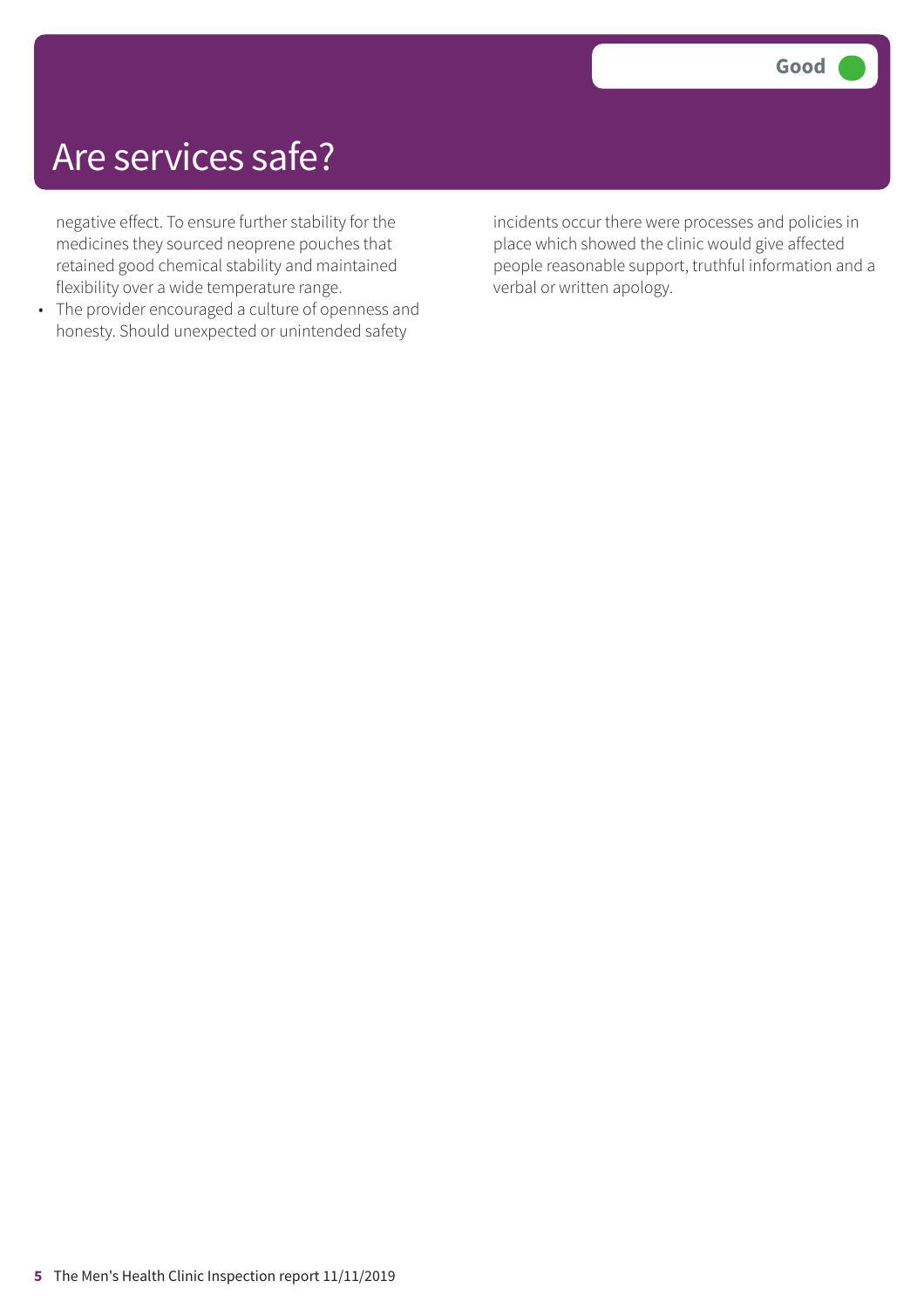### Are services safe?

negative effect. To ensure further stability for the medicines they sourced neoprene pouches that retained good chemical stability and maintained flexibility over a wide temperature range.

• The provider encouraged a culture of openness and honesty. Should unexpected or unintended safety

incidents occur there were processes and policies in place which showed the clinic would give affected people reasonable support, truthful information and a verbal or written apology.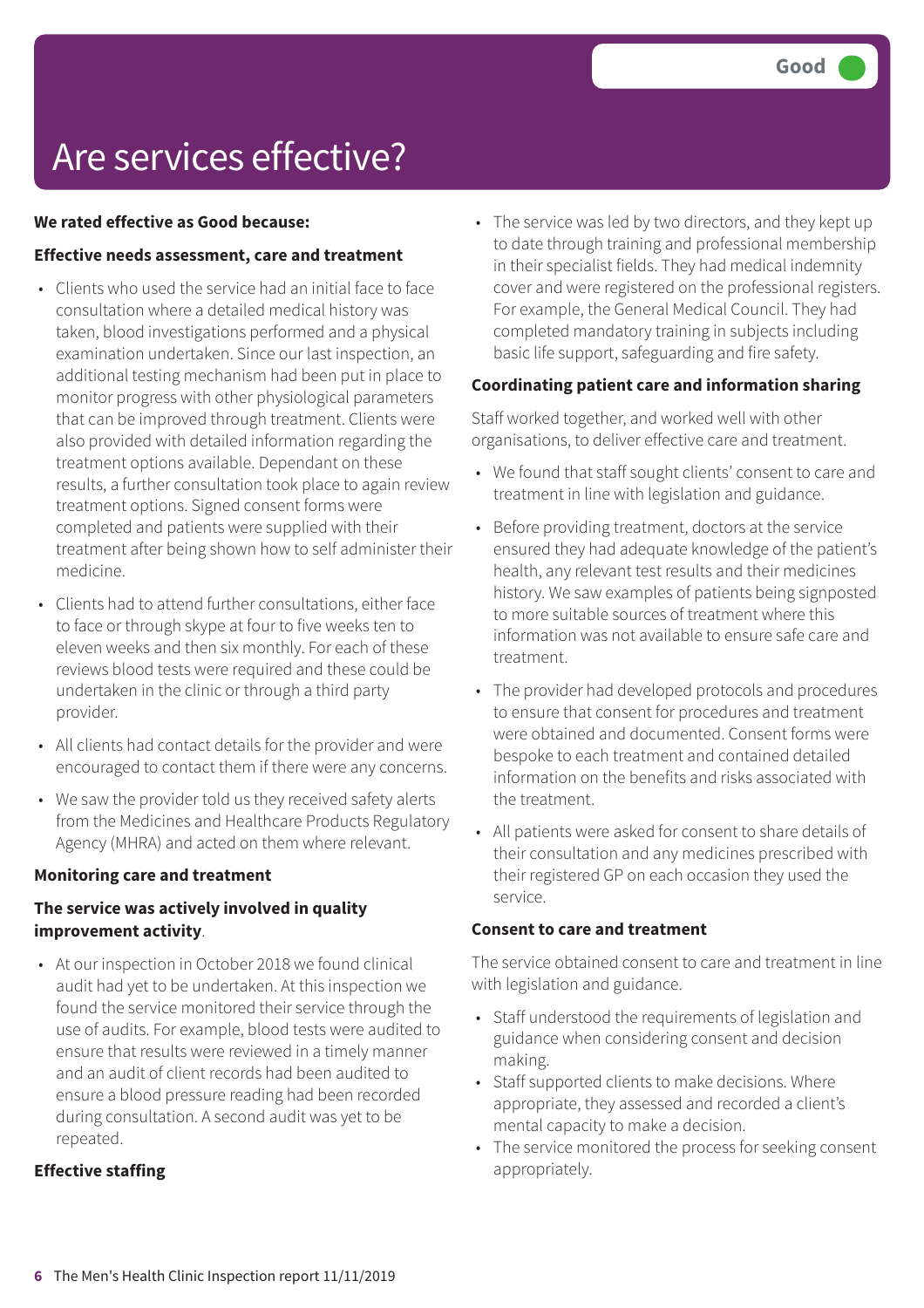### Are services effective?

#### **We rated effective as Good because:**

#### **Effective needs assessment, care and treatment**

- Clients who used the service had an initial face to face consultation where a detailed medical history was taken, blood investigations performed and a physical examination undertaken. Since our last inspection, an additional testing mechanism had been put in place to monitor progress with other physiological parameters that can be improved through treatment. Clients were also provided with detailed information regarding the treatment options available. Dependant on these results, a further consultation took place to again review treatment options. Signed consent forms were completed and patients were supplied with their treatment after being shown how to self administer their medicine.
- Clients had to attend further consultations, either face to face or through skype at four to five weeks ten to eleven weeks and then six monthly. For each of these reviews blood tests were required and these could be undertaken in the clinic or through a third party provider.
- All clients had contact details for the provider and were encouraged to contact them if there were any concerns.
- We saw the provider told us they received safety alerts from the Medicines and Healthcare Products Regulatory Agency (MHRA) and acted on them where relevant.

#### **Monitoring care and treatment**

#### **The service was actively involved in quality improvement activity**.

• At our inspection in October 2018 we found clinical audit had yet to be undertaken. At this inspection we found the service monitored their service through the use of audits. For example, blood tests were audited to ensure that results were reviewed in a timely manner and an audit of client records had been audited to ensure a blood pressure reading had been recorded during consultation. A second audit was yet to be repeated.

#### **Effective staffing**

• The service was led by two directors, and they kept up to date through training and professional membership in their specialist fields. They had medical indemnity cover and were registered on the professional registers. For example, the General Medical Council. They had completed mandatory training in subjects including basic life support, safeguarding and fire safety.

#### **Coordinating patient care and information sharing**

Staff worked together, and worked well with other organisations, to deliver effective care and treatment.

- We found that staff sought clients' consent to care and treatment in line with legislation and guidance.
- Before providing treatment, doctors at the service ensured they had adequate knowledge of the patient's health, any relevant test results and their medicines history. We saw examples of patients being signposted to more suitable sources of treatment where this information was not available to ensure safe care and treatment.
- The provider had developed protocols and procedures to ensure that consent for procedures and treatment were obtained and documented. Consent forms were bespoke to each treatment and contained detailed information on the benefits and risks associated with the treatment.
- All patients were asked for consent to share details of their consultation and any medicines prescribed with their registered GP on each occasion they used the service.

#### **Consent to care and treatment**

The service obtained consent to care and treatment in line with legislation and guidance.

- Staff understood the requirements of legislation and guidance when considering consent and decision making.
- Staff supported clients to make decisions. Where appropriate, they assessed and recorded a client's mental capacity to make a decision.
- The service monitored the process for seeking consent appropriately.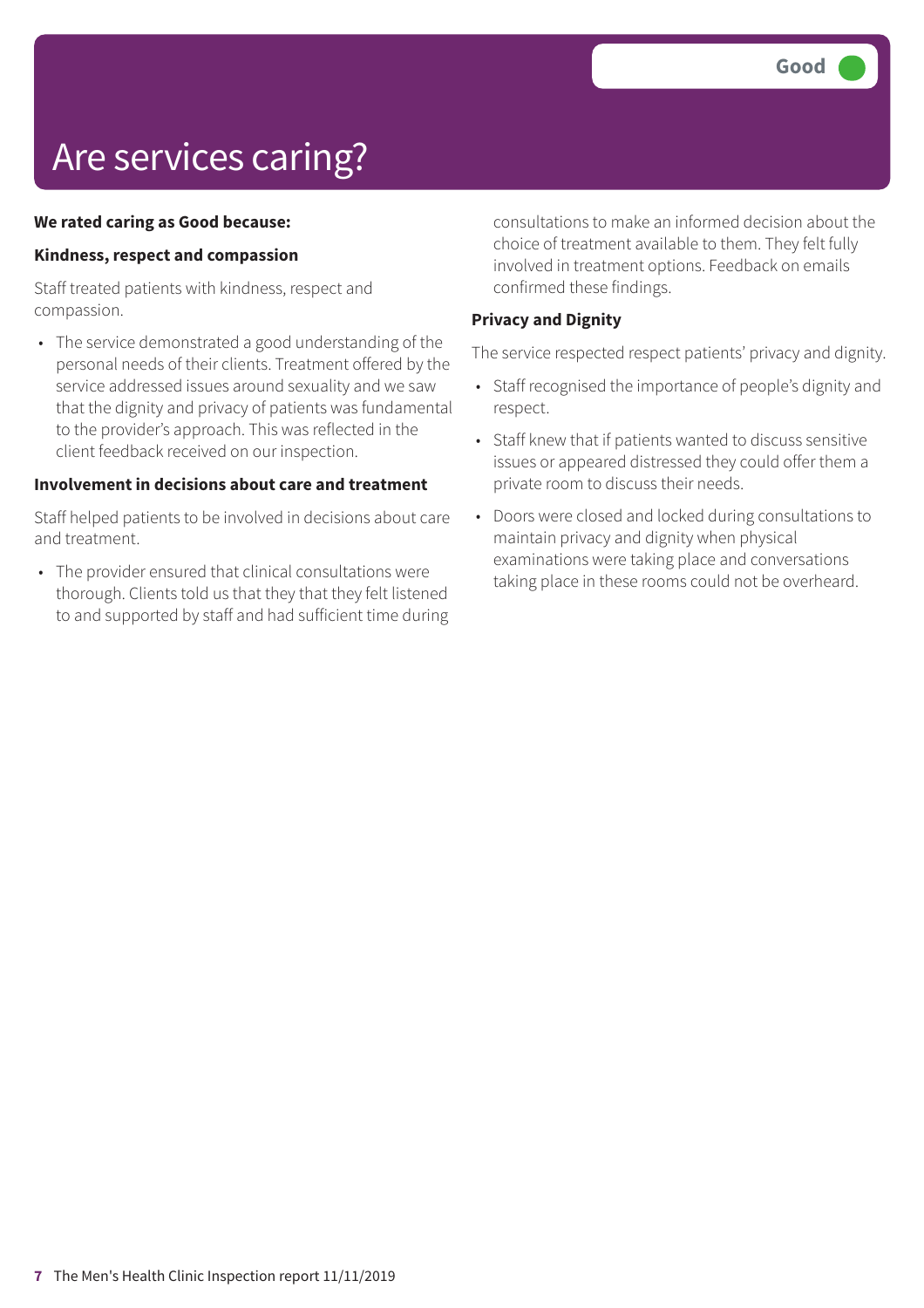# Are services caring?

#### **We rated caring as Good because:**

#### **Kindness, respect and compassion**

Staff treated patients with kindness, respect and compassion.

• The service demonstrated a good understanding of the personal needs of their clients. Treatment offered by the service addressed issues around sexuality and we saw that the dignity and privacy of patients was fundamental to the provider's approach. This was reflected in the client feedback received on our inspection.

#### **Involvement in decisions about care and treatment**

Staff helped patients to be involved in decisions about care and treatment.

• The provider ensured that clinical consultations were thorough. Clients told us that they that they felt listened to and supported by staff and had sufficient time during consultations to make an informed decision about the choice of treatment available to them. They felt fully involved in treatment options. Feedback on emails confirmed these findings.

#### **Privacy and Dignity**

The service respected respect patients' privacy and dignity.

- Staff recognised the importance of people's dignity and respect.
- Staff knew that if patients wanted to discuss sensitive issues or appeared distressed they could offer them a private room to discuss their needs.
- Doors were closed and locked during consultations to maintain privacy and dignity when physical examinations were taking place and conversations taking place in these rooms could not be overheard.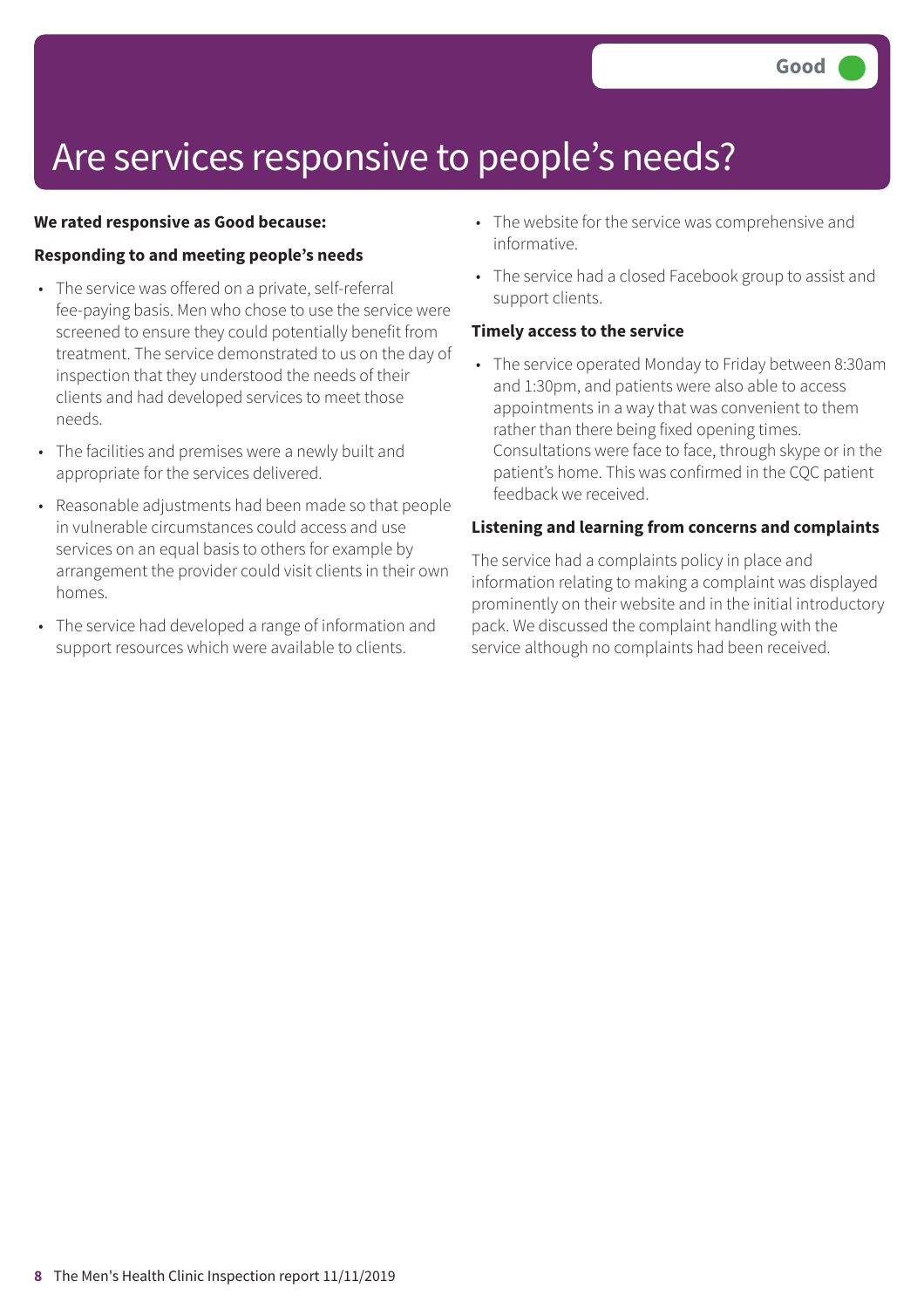### Are services responsive to people's needs?

#### **We rated responsive as Good because:**

#### **Responding to and meeting people's needs**

- The service was offered on a private, self-referral fee-paying basis. Men who chose to use the service were screened to ensure they could potentially benefit from treatment. The service demonstrated to us on the day of inspection that they understood the needs of their clients and had developed services to meet those needs.
- The facilities and premises were a newly built and appropriate for the services delivered.
- Reasonable adjustments had been made so that people in vulnerable circumstances could access and use services on an equal basis to others for example by arrangement the provider could visit clients in their own homes.
- The service had developed a range of information and support resources which were available to clients.
- The website for the service was comprehensive and informative.
- The service had a closed Facebook group to assist and support clients.

#### **Timely access to the service**

• The service operated Monday to Friday between 8:30am and 1:30pm, and patients were also able to access appointments in a way that was convenient to them rather than there being fixed opening times. Consultations were face to face, through skype or in the patient's home. This was confirmed in the CQC patient feedback we received.

#### **Listening and learning from concerns and complaints**

The service had a complaints policy in place and information relating to making a complaint was displayed prominently on their website and in the initial introductory pack. We discussed the complaint handling with the service although no complaints had been received.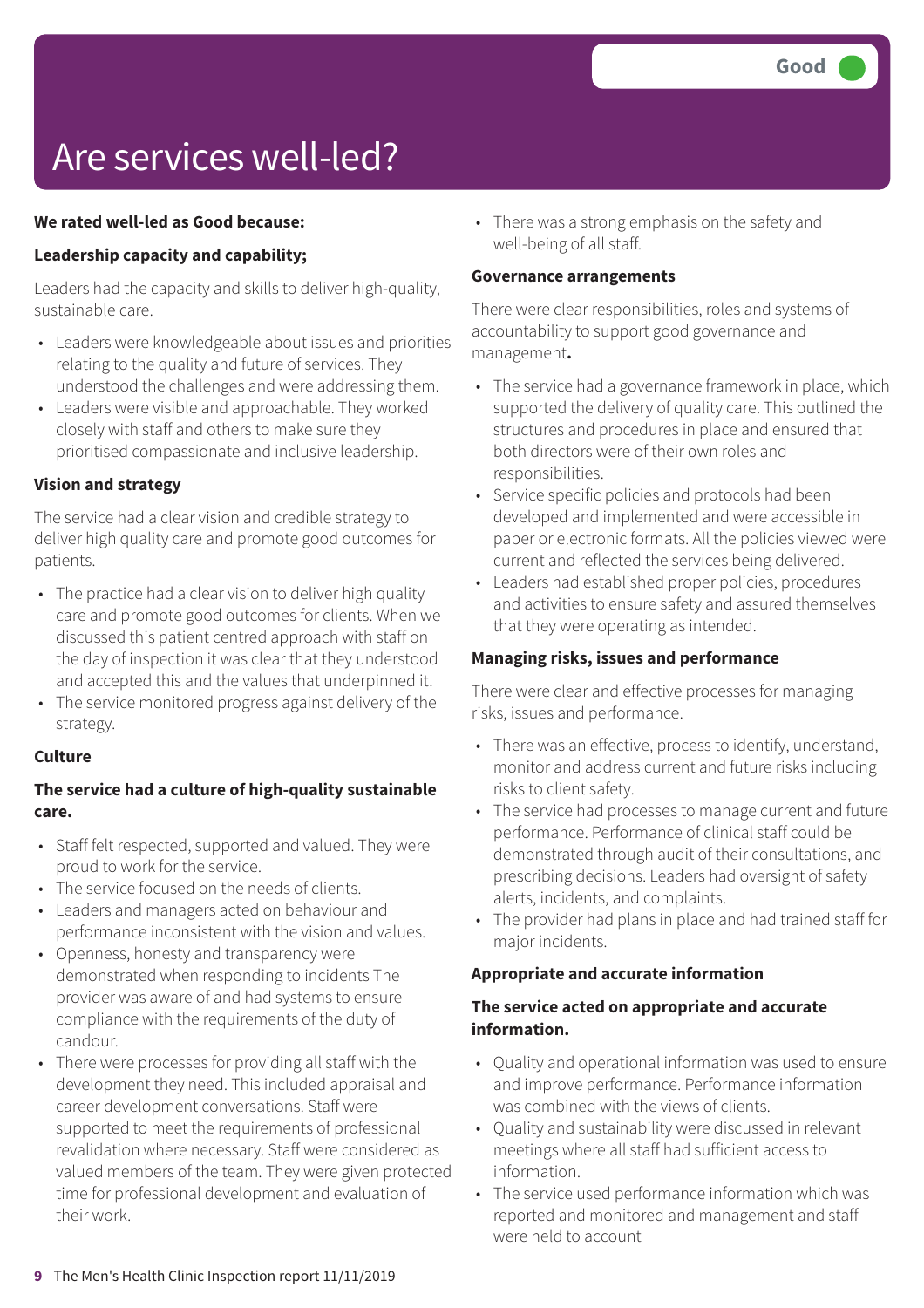# Are services well-led?

#### **We rated well-led as Good because:**

#### **Leadership capacity and capability;**

Leaders had the capacity and skills to deliver high-quality, sustainable care.

- Leaders were knowledgeable about issues and priorities relating to the quality and future of services. They understood the challenges and were addressing them.
- Leaders were visible and approachable. They worked closely with staff and others to make sure they prioritised compassionate and inclusive leadership.

#### **Vision and strategy**

The service had a clear vision and credible strategy to deliver high quality care and promote good outcomes for patients.

- The practice had a clear vision to deliver high quality care and promote good outcomes for clients. When we discussed this patient centred approach with staff on the day of inspection it was clear that they understood and accepted this and the values that underpinned it.
- The service monitored progress against delivery of the strategy.

#### **Culture**

#### **The service had a culture of high-quality sustainable care.**

- Staff felt respected, supported and valued. They were proud to work for the service.
- The service focused on the needs of clients.
- Leaders and managers acted on behaviour and performance inconsistent with the vision and values.
- Openness, honesty and transparency were demonstrated when responding to incidents The provider was aware of and had systems to ensure compliance with the requirements of the duty of candour.
- There were processes for providing all staff with the development they need. This included appraisal and career development conversations. Staff were supported to meet the requirements of professional revalidation where necessary. Staff were considered as valued members of the team. They were given protected time for professional development and evaluation of their work.

• There was a strong emphasis on the safety and well-being of all staff.

#### **Governance arrangements**

There were clear responsibilities, roles and systems of accountability to support good governance and management**.**

- The service had a governance framework in place, which supported the delivery of quality care. This outlined the structures and procedures in place and ensured that both directors were of their own roles and responsibilities.
- Service specific policies and protocols had been developed and implemented and were accessible in paper or electronic formats. All the policies viewed were current and reflected the services being delivered.
- Leaders had established proper policies, procedures and activities to ensure safety and assured themselves that they were operating as intended.

#### **Managing risks, issues and performance**

There were clear and effective processes for managing risks, issues and performance.

- There was an effective, process to identify, understand, monitor and address current and future risks including risks to client safety.
- The service had processes to manage current and future performance. Performance of clinical staff could be demonstrated through audit of their consultations, and prescribing decisions. Leaders had oversight of safety alerts, incidents, and complaints.
- The provider had plans in place and had trained staff for major incidents.

#### **Appropriate and accurate information**

#### **The service acted on appropriate and accurate information.**

- Quality and operational information was used to ensure and improve performance. Performance information was combined with the views of clients.
- Quality and sustainability were discussed in relevant meetings where all staff had sufficient access to information.
- The service used performance information which was reported and monitored and management and staff were held to account